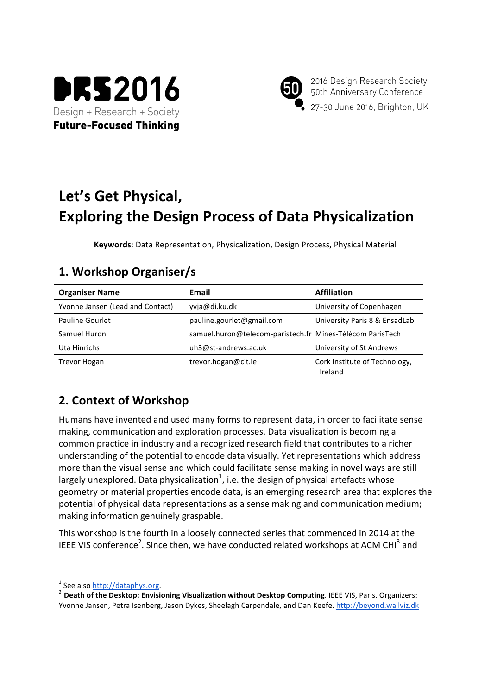



2016 Design Research Society 50th Anniversary Conference 27-30 June 2016, Brighton, UK

# Let's Get Physical, **Exploring the Design Process of Data Physicalization**

**Keywords:** Data Representation, Physicalization, Design Process, Physical Material

### **Organiser Name Email Email Email Affiliation** Yvonne Jansen (Lead and Contact) yvja@di.ku.dk University of Copenhagen Pauline Gourlet **pauline.gourlet@gmail.com** University Paris 8 & EnsadLab Samuel Huron **Samuel.huron@telecom-paristech.fr Mines-Télécom ParisTech** Uta Hinrichs and the uh3@st-andrews.ac.uk University of St Andrews Trevor Hogan trevor.hogan@cit.ie Cork Institute of Technology, Ireland

## **1. Workshop Organiser/s**

### **2. Context of Workshop**

Humans have invented and used many forms to represent data, in order to facilitate sense making, communication and exploration processes. Data visualization is becoming a common practice in industry and a recognized research field that contributes to a richer understanding of the potential to encode data visually. Yet representations which address more than the visual sense and which could facilitate sense making in novel ways are still largely unexplored. Data physicalization<sup>1</sup>, i.e. the design of physical artefacts whose geometry or material properties encode data, is an emerging research area that explores the potential of physical data representations as a sense making and communication medium; making information genuinely graspable.

This workshop is the fourth in a loosely connected series that commenced in 2014 at the IEEE VIS conference<sup>2</sup>. Since then, we have conducted related workshops at ACM CHI<sup>3</sup> and

<sup>&</sup>lt;sup>1</sup> See also http://dataphys.org.<br><sup>2</sup> Death of the Desktop: Envisioning Visualization without Desktop Computing. IEEE VIS, Paris. Organizers: Yvonne Jansen, Petra Isenberg, Jason Dykes, Sheelagh Carpendale, and Dan Keefe. http://beyond.wallviz.dk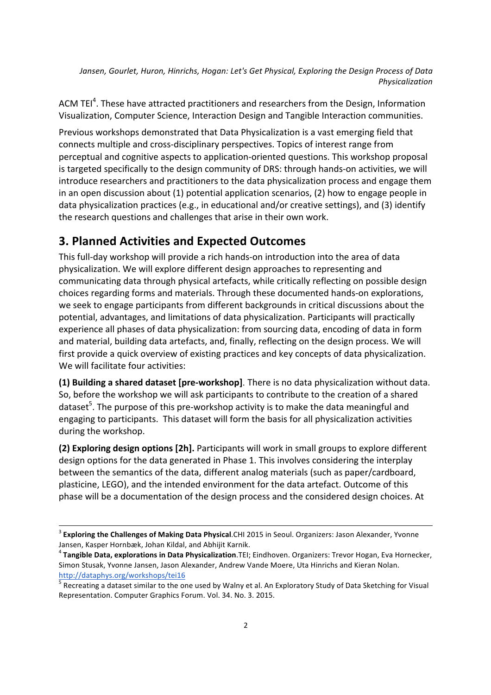Jansen, Gourlet, Huron, Hinrichs, Hogan: Let's Get Physical, Exploring the Design Process of Data *Physicalization*

ACM TEI<sup>4</sup>. These have attracted practitioners and researchers from the Design, Information Visualization, Computer Science, Interaction Design and Tangible Interaction communities.

Previous workshops demonstrated that Data Physicalization is a vast emerging field that connects multiple and cross-disciplinary perspectives. Topics of interest range from perceptual and cognitive aspects to application-oriented questions. This workshop proposal is targeted specifically to the design community of DRS: through hands-on activities, we will introduce researchers and practitioners to the data physicalization process and engage them in an open discussion about  $(1)$  potential application scenarios,  $(2)$  how to engage people in data physicalization practices (e.g., in educational and/or creative settings), and (3) identify the research questions and challenges that arise in their own work.

#### **3. Planned Activities and Expected Outcomes**

This full-day workshop will provide a rich hands-on introduction into the area of data physicalization. We will explore different design approaches to representing and communicating data through physical artefacts, while critically reflecting on possible design choices regarding forms and materials. Through these documented hands-on explorations, we seek to engage participants from different backgrounds in critical discussions about the potential, advantages, and limitations of data physicalization. Participants will practically experience all phases of data physicalization: from sourcing data, encoding of data in form and material, building data artefacts, and, finally, reflecting on the design process. We will first provide a quick overview of existing practices and key concepts of data physicalization. We will facilitate four activities:

**(1)** Building a shared dataset [pre-workshop]. There is no data physicalization without data. So, before the workshop we will ask participants to contribute to the creation of a shared dataset<sup>5</sup>. The purpose of this pre-workshop activity is to make the data meaningful and engaging to participants. This dataset will form the basis for all physicalization activities during the workshop.

**(2) Exploring design options [2h].** Participants will work in small groups to explore different design options for the data generated in Phase 1. This involves considering the interplay between the semantics of the data, different analog materials (such as paper/cardboard, plasticine, LEGO), and the intended environment for the data artefact. Outcome of this phase will be a documentation of the design process and the considered design choices. At

<sup>&</sup>lt;sup>3</sup> Exploring the Challenges of Making Data Physical.CHI 2015 in Seoul. Organizers: Jason Alexander, Yvonne Jansen, Kasper Hornbæk, Johan Kildal, and Abhijit Karnik.

<sup>&</sup>lt;sup>4</sup> Tangible Data, explorations in Data Physicalization.TEI; Eindhoven. Organizers: Trevor Hogan, Eva Hornecker, Simon Stusak, Yvonne Jansen, Jason Alexander, Andrew Vande Moere, Uta Hinrichs and Kieran Nolan. http://dataphys.org/workshops/tei16

 $<sup>5</sup>$  Recreating a dataset similar to the one used by Walny et al. An Exploratory Study of Data Sketching for Visual</sup> Representation. Computer Graphics Forum. Vol. 34. No. 3. 2015.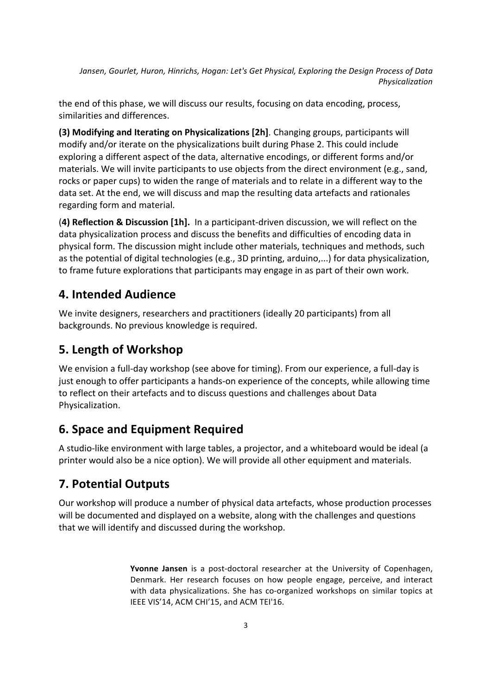Jansen, Gourlet, Huron, Hinrichs, Hogan: Let's Get Physical, Exploring the Design Process of Data *Physicalization*

the end of this phase, we will discuss our results, focusing on data encoding, process, similarities and differences.

**(3) Modifying and Iterating on Physicalizations [2h]**. Changing groups, participants will modify and/or iterate on the physicalizations built during Phase 2. This could include exploring a different aspect of the data, alternative encodings, or different forms and/or materials. We will invite participants to use objects from the direct environment (e.g., sand, rocks or paper cups) to widen the range of materials and to relate in a different way to the data set. At the end, we will discuss and map the resulting data artefacts and rationales regarding form and material.

**(4) Reflection & Discussion [1h].** In a participant-driven discussion, we will reflect on the data physicalization process and discuss the benefits and difficulties of encoding data in physical form. The discussion might include other materials, techniques and methods, such as the potential of digital technologies (e.g., 3D printing, arduino,...) for data physicalization, to frame future explorations that participants may engage in as part of their own work.

#### **4. Intended Audience**

We invite designers, researchers and practitioners (ideally 20 participants) from all backgrounds. No previous knowledge is required.

#### **5. Length of Workshop**

We envision a full-day workshop (see above for timing). From our experience, a full-day is just enough to offer participants a hands-on experience of the concepts, while allowing time to reflect on their artefacts and to discuss questions and challenges about Data Physicalization.

#### **6. Space and Equipment Required**

A studio-like environment with large tables, a projector, and a whiteboard would be ideal (a printer would also be a nice option). We will provide all other equipment and materials.

#### **7. Potential Outputs**

Our workshop will produce a number of physical data artefacts, whose production processes will be documented and displayed on a website, along with the challenges and questions that we will identify and discussed during the workshop.

> **Yvonne Jansen** is a post-doctoral researcher at the University of Copenhagen, Denmark. Her research focuses on how people engage, perceive, and interact with data physicalizations. She has co-organized workshops on similar topics at IEEE VIS'14, ACM CHI'15, and ACM TEI'16.